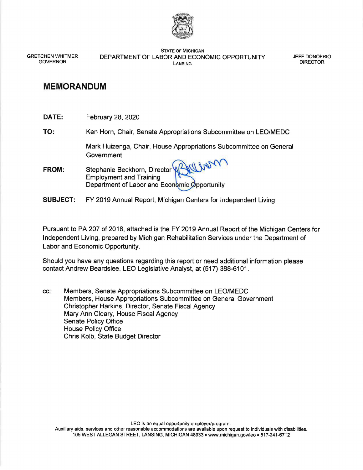

STATE OF MICHIGAN GRETCHEN WHITMER DEPARTMENT OF LABOR AND ECONOMIC OPPORTUNITY JEFF DONOFRIO GOVERNOR DIRECTOR LANSING

## **MEMORANDUM**

**DATE:** February 28, 2020

**TO:** Ken Horn, Chair, Senate Appropriations Subcommittee on LEO/MEDC

Mark Huizenga, Chair, House Appropriations Subcommittee on General **Government** 

- FROM: Stephanie Beckhorn, Director<sup>12</sup> Employment and Training Department of Labor and Economic Opportunity
- **SUBJECT:** FY 2019 Annual Report, Michigan Centers for Independent Living

Pursuant to PA 207 of 2018, attached is the FY 2019 Annual Report of the Michigan Centers for Independent Living, prepared by Michigan Rehabilitation Services under the Department of Labor and Economic Opportunity.

Should you have any questions regarding this report or need additional information please contact Andrew Beardslee, LEO Legislative Analyst, at (517) 388-6101.

cc: Members, Senate Appropriations Subcommittee on LEO/MEDC Members, House Appropriations Subcommittee on General Government Christopher Harkins, Director, Senate Fiscal Agency Mary Ann Cleary, House Fiscal Agency Senate Policy Office House Policy Office Chris Kolb, State Budget Director

LEO is an equal opportunity employer/program.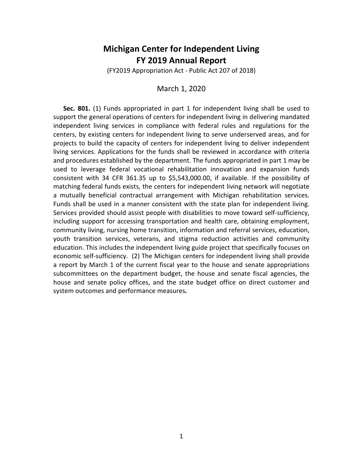## **Michigan Center for Independent Living FY 2019 Annual Report**

(FY2019 Appropriation Act - Public Act 207 of 2018)

#### March 1, 2020

**Sec. 801.** (1) Funds appropriated in part 1 for independent living shall be used to support the general operations of centers for independent living in delivering mandated independent living services in compliance with federal rules and regulations for the centers, by existing centers for independent living to serve underserved areas, and for projects to build the capacity of centers for independent living to deliver independent living services. Applications for the funds shall be reviewed in accordance with criteria and procedures established by the department. The funds appropriated in part 1 may be used to leverage federal vocational rehabilitation innovation and expansion funds consistent with 34 CFR 361.35 up to \$5,543,000.00, if available. If the possibility of matching federal funds exists, the centers for independent living network will negotiate a mutually beneficial contractual arrangement with Michigan rehabilitation services. Funds shall be used in a manner consistent with the state plan for independent living. Services provided should assist people with disabilities to move toward self-sufficiency, including support for accessing transportation and health care, obtaining employment, community living, nursing home transition, information and referral services, education, youth transition services, veterans, and stigma reduction activities and community education. This includes the independent living guide project that specifically focuses on economic self-sufficiency. (2) The Michigan centers for independent living shall provide a report by March 1 of the current fiscal year to the house and senate appropriations subcommittees on the department budget, the house and senate fiscal agencies, the house and senate policy offices, and the state budget office on direct customer and system outcomes and performance measures*.*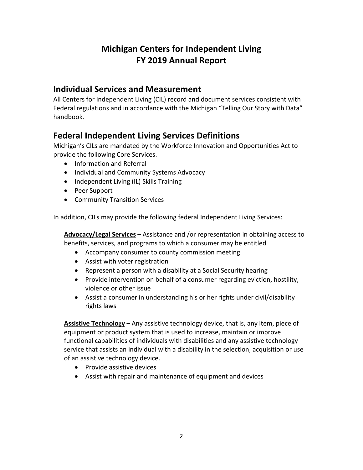# **Michigan Centers for Independent Living FY 2019 Annual Report**

# **Individual Services and Measurement**

All Centers for Independent Living (CIL) record and document services consistent with Federal regulations and in accordance with the Michigan "Telling Our Story with Data" handbook.

# **Federal Independent Living Services Definitions**

Michigan's CILs are mandated by the Workforce Innovation and Opportunities Act to provide the following Core Services.

- Information and Referral
- Individual and Community Systems Advocacy
- Independent Living (IL) Skills Training
- Peer Support
- Community Transition Services

In addition, CILs may provide the following federal Independent Living Services:

**Advocacy/Legal Services** – Assistance and /or representation in obtaining access to benefits, services, and programs to which a consumer may be entitled

- Accompany consumer to county commission meeting
- Assist with voter registration
- Represent a person with a disability at a Social Security hearing
- Provide intervention on behalf of a consumer regarding eviction, hostility, violence or other issue
- Assist a consumer in understanding his or her rights under civil/disability rights laws

**Assistive Technology** – Any assistive technology device, that is, any item, piece of equipment or product system that is used to increase, maintain or improve functional capabilities of individuals with disabilities and any assistive technology service that assists an individual with a disability in the selection, acquisition or use of an assistive technology device.

- Provide assistive devices
- Assist with repair and maintenance of equipment and devices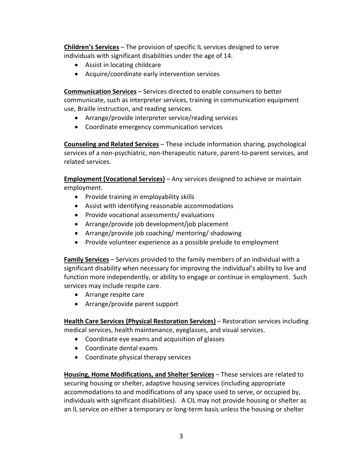**Children's Services** – The provision of specific IL services designed to serve individuals with significant disabilities under the age of 14.

- Assist in locating childcare
- Acquire/coordinate early intervention services

**Communication Services** – Services directed to enable consumers to better communicate, such as interpreter services, training in communication equipment use, Braille instruction, and reading services.

- Arrange/provide interpreter service/reading services
- Coordinate emergency communication services

**Counseling and Related Services** – These include information sharing, psychological services of a non-psychiatric, non-therapeutic nature, parent-to-parent services, and related services.

**Employment (Vocational Services)** – Any services designed to achieve or maintain employment.

- Provide training in employability skills
- Assist with identifying reasonable accommodations
- Provide vocational assessments/ evaluations
- Arrange/provide job development/job placement
- Arrange/provide job coaching/ mentoring/ shadowing
- Provide volunteer experience as a possible prelude to employment

**Family Services** – Services provided to the family members of an individual with a significant disability when necessary for improving the individual's ability to live and function more independently, or ability to engage or continue in employment. Such services may include respite care.

- Arrange respite care
- Arrange/provide parent support

**Health Care Services (Physical Restoration Services)** – Restoration services including medical services, health maintenance, eyeglasses, and visual services.

- Coordinate eye exams and acquisition of glasses
- Coordinate dental exams
- Coordinate physical therapy services

**Housing, Home Modifications, and Shelter Services** – These services are related to securing housing or shelter, adaptive housing services (including appropriate accommodations to and modifications of any space used to serve, or occupied by, individuals with significant disabilities). A CIL may not provide housing or shelter as an IL service on either a temporary or long-term basis unless the housing or shelter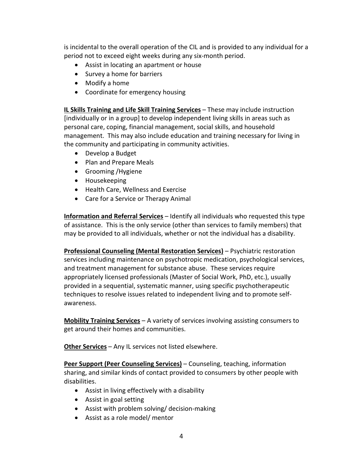is incidental to the overall operation of the CIL and is provided to any individual for a period not to exceed eight weeks during any six-month period.

- Assist in locating an apartment or house
- Survey a home for barriers
- Modify a home
- Coordinate for emergency housing

**IL Skills Training and Life Skill Training Services** – These may include instruction [individually or in a group] to develop independent living skills in areas such as personal care, coping, financial management, social skills, and household management. This may also include education and training necessary for living in the community and participating in community activities.

- Develop a Budget
- Plan and Prepare Meals
- Grooming /Hygiene
- Housekeeping
- Health Care, Wellness and Exercise
- Care for a Service or Therapy Animal

**Information and Referral Services** – Identify all individuals who requested this type of assistance. This is the only service (other than services to family members) that may be provided to all individuals, whether or not the individual has a disability.

**Professional Counseling (Mental Restoration Services)** – Psychiatric restoration services including maintenance on psychotropic medication, psychological services, and treatment management for substance abuse. These services require appropriately licensed professionals (Master of Social Work, PhD, etc.), usually provided in a sequential, systematic manner, using specific psychotherapeutic techniques to resolve issues related to independent living and to promote selfawareness.

**Mobility Training Services** – A variety of services involving assisting consumers to get around their homes and communities.

**Other Services** – Any IL services not listed elsewhere.

**Peer Support (Peer Counseling Services)** – Counseling, teaching, information sharing, and similar kinds of contact provided to consumers by other people with disabilities.

- Assist in living effectively with a disability
- Assist in goal setting
- Assist with problem solving/ decision-making
- Assist as a role model/ mentor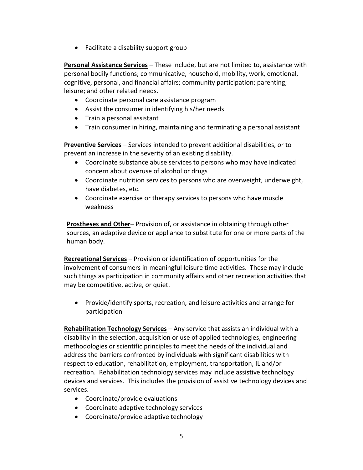• Facilitate a disability support group

**Personal Assistance Services** – These include, but are not limited to, assistance with personal bodily functions; communicative, household, mobility, work, emotional, cognitive, personal, and financial affairs; community participation; parenting; leisure; and other related needs.

- Coordinate personal care assistance program
- Assist the consumer in identifying his/her needs
- Train a personal assistant
- Train consumer in hiring, maintaining and terminating a personal assistant

**Preventive Services** – Services intended to prevent additional disabilities, or to prevent an increase in the severity of an existing disability.

- Coordinate substance abuse services to persons who may have indicated concern about overuse of alcohol or drugs
- Coordinate nutrition services to persons who are overweight, underweight, have diabetes, etc.
- Coordinate exercise or therapy services to persons who have muscle weakness

**Prostheses and Other**– Provision of, or assistance in obtaining through other sources, an adaptive device or appliance to substitute for one or more parts of the human body.

**Recreational Services** – Provision or identification of opportunities for the involvement of consumers in meaningful leisure time activities. These may include such things as participation in community affairs and other recreation activities that may be competitive, active, or quiet.

• Provide/identify sports, recreation, and leisure activities and arrange for participation

**Rehabilitation Technology Services** – Any service that assists an individual with a disability in the selection, acquisition or use of applied technologies, engineering methodologies or scientific principles to meet the needs of the individual and address the barriers confronted by individuals with significant disabilities with respect to education, rehabilitation, employment, transportation, IL and/or recreation. Rehabilitation technology services may include assistive technology devices and services. This includes the provision of assistive technology devices and services.

- Coordinate/provide evaluations
- Coordinate adaptive technology services
- Coordinate/provide adaptive technology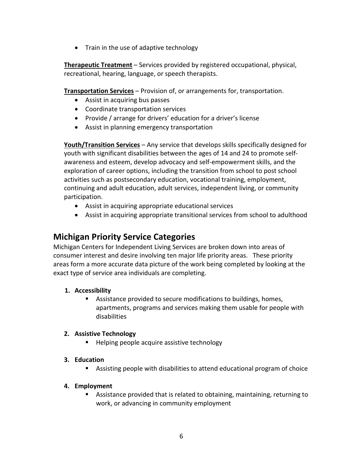• Train in the use of adaptive technology

**Therapeutic Treatment** – Services provided by registered occupational, physical, recreational, hearing, language, or speech therapists.

**Transportation Services** – Provision of, or arrangements for, transportation.

- Assist in acquiring bus passes
- Coordinate transportation services
- Provide / arrange for drivers' education for a driver's license
- Assist in planning emergency transportation

**Youth/Transition Services** – Any service that develops skills specifically designed for youth with significant disabilities between the ages of 14 and 24 to promote selfawareness and esteem, develop advocacy and self-empowerment skills, and the exploration of career options, including the transition from school to post school activities such as postsecondary education, vocational training, employment, continuing and adult education, adult services, independent living, or community participation.

- Assist in acquiring appropriate educational services
- Assist in acquiring appropriate transitional services from school to adulthood

# **Michigan Priority Service Categories**

Michigan Centers for Independent Living Services are broken down into areas of consumer interest and desire involving ten major life priority areas. These priority areas form a more accurate data picture of the work being completed by looking at the exact type of service area individuals are completing.

#### **1. Accessibility**

 Assistance provided to secure modifications to buildings, homes, apartments, programs and services making them usable for people with disabilities

#### **2. Assistive Technology**

**Helping people acquire assistive technology** 

#### **3. Education**

Assisting people with disabilities to attend educational program of choice

#### **4. Employment**

 Assistance provided that is related to obtaining, maintaining, returning to work, or advancing in community employment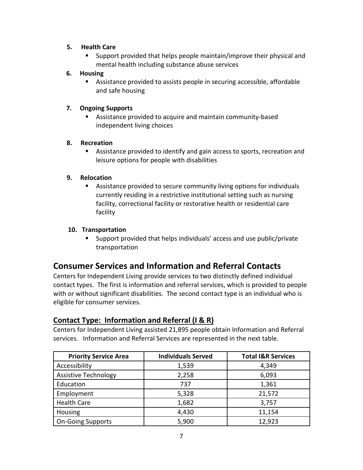#### **5. Health Care**

 Support provided that helps people maintain/improve their physical and mental health including substance abuse services

#### **6. Housing**

 Assistance provided to assists people in securing accessible, affordable and safe housing

## **7. Ongoing Supports**

 Assistance provided to acquire and maintain community-based independent living choices

## **8. Recreation**

 Assistance provided to identify and gain access to sports, recreation and leisure options for people with disabilities

## **9. Relocation**

 Assistance provided to secure community living options for individuals currently residing in a restrictive institutional setting such as nursing facility, correctional facility or restorative health or residential care facility

## **10. Transportation**

 Support provided that helps individuals' access and use public/private transportation

# **Consumer Services and Information and Referral Contacts**

Centers for Independent Living provide services to two distinctly defined individual contact types. The first is information and referral services, which is provided to people with or without significant disabilities. The second contact type is an individual who is eligible for consumer services.

## **Contact Type: Information and Referral (I & R)**

Centers for Independent Living assisted 21,895 people obtain Information and Referral services. Information and Referral Services are represented in the next table.

| <b>Priority Service Area</b> | <b>Individuals Served</b> | <b>Total I&amp;R Services</b> |
|------------------------------|---------------------------|-------------------------------|
| Accessibility                | 1,539                     | 4,349                         |
| <b>Assistive Technology</b>  | 2,258                     | 6,093                         |
| Education                    | 737                       | 1,361                         |
| Employment                   | 5,328                     | 21,572                        |
| <b>Health Care</b>           | 1,682                     | 3,757                         |
| Housing                      | 4,430                     | 11,154                        |
| <b>On-Going Supports</b>     | 5,900                     | 12,923                        |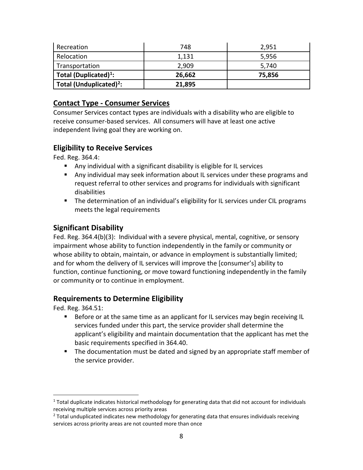| Recreation                          | 748    | 2,951  |
|-------------------------------------|--------|--------|
| Relocation                          | 1,131  | 5,956  |
| Transportation                      | 2,909  | 5.740  |
| Total (Duplicated) <sup>1</sup> :   | 26,662 | 75,856 |
| Total (Unduplicated) <sup>2</sup> : | 21,895 |        |

## **Contact Type - Consumer Services**

Consumer Services contact types are individuals with a disability who are eligible to receive consumer-based services. All consumers will have at least one active independent living goal they are working on.

## **Eligibility to Receive Services**

Fed. Reg. 364.4:

- Any individual with a significant disability is eligible for IL services
- Any individual may seek information about IL services under these programs and request referral to other services and programs for individuals with significant disabilities
- **The determination of an individual's eligibility for IL services under CIL programs** meets the legal requirements

## **Significant Disability**

Fed. Reg. 364.4(b)(3): Individual with a severe physical, mental, cognitive, or sensory impairment whose ability to function independently in the family or community or whose ability to obtain, maintain, or advance in employment is substantially limited; and for whom the delivery of IL services will improve the [consumer's] ability to function, continue functioning, or move toward functioning independently in the family or community or to continue in employment.

## **Requirements to Determine Eligibility**

Fed. Reg. 364.51:

- **Before or at the same time as an applicant for IL services may begin receiving IL** services funded under this part, the service provider shall determine the applicant's eligibility and maintain documentation that the applicant has met the basic requirements specified in 364.40.
- **The documentation must be dated and signed by an appropriate staff member of** the service provider.

<span id="page-8-0"></span> $1$  Total duplicate indicates historical methodology for generating data that did not account for individuals receiving multiple services across priority areas

<span id="page-8-1"></span> $<sup>2</sup>$  Total unduplicated indicates new methodology for generating data that ensures individuals receiving</sup> services across priority areas are not counted more than once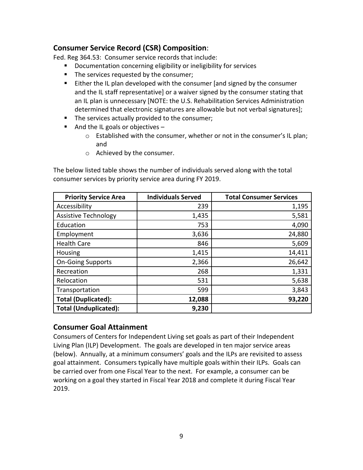## **Consumer Service Record (CSR) Composition**:

Fed. Reg 364.53: Consumer service records that include:

- **Documentation concerning eligibility or ineligibility for services**
- **The services requested by the consumer;**
- **Either the IL plan developed with the consumer [and signed by the consumer** and the IL staff representative] or a waiver signed by the consumer stating that an IL plan is unnecessary [NOTE: the U.S. Rehabilitation Services Administration determined that electronic signatures are allowable but not verbal signatures];
- The services actually provided to the consumer;
- And the IL goals or objectives  $$ 
	- o Established with the consumer, whether or not in the consumer's IL plan; and
	- o Achieved by the consumer.

The below listed table shows the number of individuals served along with the total consumer services by priority service area during FY 2019.

| <b>Priority Service Area</b> | <b>Individuals Served</b> | <b>Total Consumer Services</b> |
|------------------------------|---------------------------|--------------------------------|
| Accessibility                | 239                       | 1,195                          |
| <b>Assistive Technology</b>  | 1,435                     | 5,581                          |
| Education                    | 753                       | 4,090                          |
| Employment                   | 3,636                     | 24,880                         |
| <b>Health Care</b>           | 846                       | 5,609                          |
| Housing                      | 1,415                     | 14,411                         |
| <b>On-Going Supports</b>     | 2,366                     | 26,642                         |
| Recreation                   | 268                       | 1,331                          |
| Relocation                   | 531                       | 5,638                          |
| Transportation               | 599                       | 3,843                          |
| <b>Total (Duplicated):</b>   | 12,088                    | 93,220                         |
| <b>Total (Unduplicated):</b> | 9,230                     |                                |

## **Consumer Goal Attainment**

Consumers of Centers for Independent Living set goals as part of their Independent Living Plan (ILP) Development. The goals are developed in ten major service areas (below). Annually, at a minimum consumers' goals and the ILPs are revisited to assess goal attainment. Consumers typically have multiple goals within their ILPs. Goals can be carried over from one Fiscal Year to the next. For example, a consumer can be working on a goal they started in Fiscal Year 2018 and complete it during Fiscal Year 2019.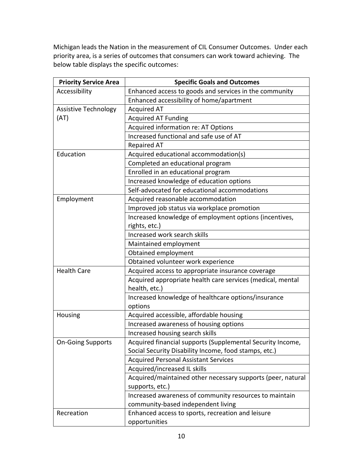Michigan leads the Nation in the measurement of CIL Consumer Outcomes. Under each priority area, is a series of outcomes that consumers can work toward achieving. The below table displays the specific outcomes:

| <b>Priority Service Area</b> | <b>Specific Goals and Outcomes</b>                          |  |
|------------------------------|-------------------------------------------------------------|--|
| Accessibility                | Enhanced access to goods and services in the community      |  |
|                              | Enhanced accessibility of home/apartment                    |  |
| <b>Assistive Technology</b>  | <b>Acquired AT</b>                                          |  |
| (AT)                         | <b>Acquired AT Funding</b>                                  |  |
|                              | Acquired information re: AT Options                         |  |
|                              | Increased functional and safe use of AT                     |  |
|                              | <b>Repaired AT</b>                                          |  |
| Education                    | Acquired educational accommodation(s)                       |  |
|                              | Completed an educational program                            |  |
|                              | Enrolled in an educational program                          |  |
|                              | Increased knowledge of education options                    |  |
|                              | Self-advocated for educational accommodations               |  |
| Employment                   | Acquired reasonable accommodation                           |  |
|                              | Improved job status via workplace promotion                 |  |
|                              | Increased knowledge of employment options (incentives,      |  |
|                              | rights, etc.)                                               |  |
|                              | Increased work search skills                                |  |
|                              | Maintained employment                                       |  |
|                              | Obtained employment                                         |  |
|                              | Obtained volunteer work experience                          |  |
| <b>Health Care</b>           | Acquired access to appropriate insurance coverage           |  |
|                              | Acquired appropriate health care services (medical, mental  |  |
|                              | health, etc.)                                               |  |
|                              | Increased knowledge of healthcare options/insurance         |  |
|                              | options                                                     |  |
| Housing                      | Acquired accessible, affordable housing                     |  |
|                              | Increased awareness of housing options                      |  |
|                              | Increased housing search skills                             |  |
| <b>On-Going Supports</b>     | Acquired financial supports (Supplemental Security Income,  |  |
|                              | Social Security Disability Income, food stamps, etc.)       |  |
|                              | <b>Acquired Personal Assistant Services</b>                 |  |
|                              | Acquired/increased IL skills                                |  |
|                              | Acquired/maintained other necessary supports (peer, natural |  |
|                              | supports, etc.)                                             |  |
|                              | Increased awareness of community resources to maintain      |  |
|                              | community-based independent living                          |  |
| Recreation                   | Enhanced access to sports, recreation and leisure           |  |
|                              | opportunities                                               |  |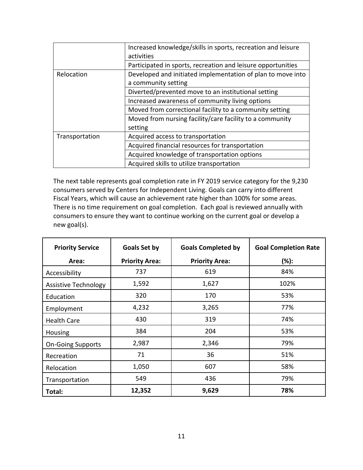|                | Increased knowledge/skills in sports, recreation and leisure |
|----------------|--------------------------------------------------------------|
|                | activities                                                   |
|                | Participated in sports, recreation and leisure opportunities |
| Relocation     | Developed and initiated implementation of plan to move into  |
|                | a community setting                                          |
|                | Diverted/prevented move to an institutional setting          |
|                | Increased awareness of community living options              |
|                | Moved from correctional facility to a community setting      |
|                | Moved from nursing facility/care facility to a community     |
|                | setting                                                      |
| Transportation | Acquired access to transportation                            |
|                | Acquired financial resources for transportation              |
|                | Acquired knowledge of transportation options                 |
|                | Acquired skills to utilize transportation                    |

The next table represents goal completion rate in FY 2019 service category for the 9,230 consumers served by Centers for Independent Living. Goals can carry into different Fiscal Years, which will cause an achievement rate higher than 100% for some areas. There is no time requirement on goal completion. Each goal is reviewed annually with consumers to ensure they want to continue working on the current goal or develop a new goal(s).

| <b>Priority Service</b>     | <b>Goals Set by</b>   | <b>Goals Completed by</b> | <b>Goal Completion Rate</b> |
|-----------------------------|-----------------------|---------------------------|-----------------------------|
| Area:                       | <b>Priority Area:</b> | <b>Priority Area:</b>     | (%):                        |
| Accessibility               | 737                   | 619                       | 84%                         |
| <b>Assistive Technology</b> | 1,592                 | 1,627                     | 102%                        |
| Education                   | 320                   | 170                       | 53%                         |
| Employment                  | 4,232                 | 3,265                     | 77%                         |
| <b>Health Care</b>          | 430                   | 319                       | 74%                         |
| Housing                     | 384                   | 204                       | 53%                         |
| <b>On-Going Supports</b>    | 2,987                 | 2,346                     | 79%                         |
| Recreation                  | 71                    | 36                        | 51%                         |
| Relocation                  | 1,050                 | 607                       | 58%                         |
| Transportation              | 549                   | 436                       | 79%                         |
| Total:                      | 12,352                | 9,629                     | 78%                         |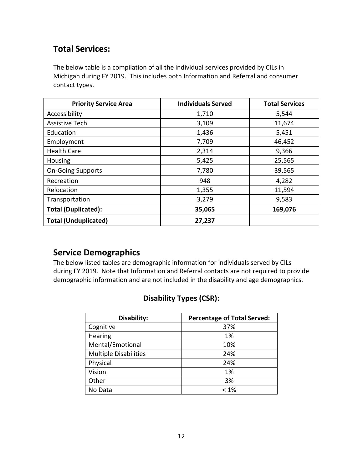# **Total Services:**

The below table is a compilation of all the individual services provided by CILs in Michigan during FY 2019. This includes both Information and Referral and consumer contact types.

| <b>Priority Service Area</b> | <b>Individuals Served</b> | <b>Total Services</b> |
|------------------------------|---------------------------|-----------------------|
| Accessibility                | 1,710                     | 5,544                 |
| <b>Assistive Tech</b>        | 3,109                     | 11,674                |
| Education                    | 1,436                     | 5,451                 |
| Employment                   | 7,709                     | 46,452                |
| <b>Health Care</b>           | 2,314                     | 9,366                 |
| Housing                      | 5,425                     | 25,565                |
| <b>On-Going Supports</b>     | 7,780                     | 39,565                |
| Recreation                   | 948                       | 4,282                 |
| Relocation                   | 1,355                     | 11,594                |
| Transportation               | 3,279                     | 9,583                 |
| <b>Total (Duplicated):</b>   | 35,065                    | 169,076               |
| <b>Total (Unduplicated)</b>  | 27,237                    |                       |

# **Service Demographics**

The below listed tables are demographic information for individuals served by CILs during FY 2019. Note that Information and Referral contacts are not required to provide demographic information and are not included in the disability and age demographics.

# **Disability Types (CSR):**

| Disability:                  | <b>Percentage of Total Served:</b> |
|------------------------------|------------------------------------|
| Cognitive                    | 37%                                |
| Hearing                      | 1%                                 |
| Mental/Emotional             | 10%                                |
| <b>Multiple Disabilities</b> | 24%                                |
| Physical                     | 24%                                |
| Vision                       | 1%                                 |
| Other                        | 3%                                 |
| No Data                      | $< 1\%$                            |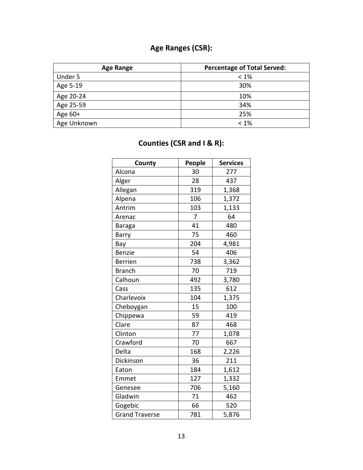# **Age Ranges (CSR):**

| <b>Age Range</b> | <b>Percentage of Total Served:</b> |
|------------------|------------------------------------|
| Under 5          | $<1\%$                             |
| Age 5-19         | 30%                                |
| Age 20-24        | 10%                                |
| Age 25-59        | 34%                                |
| Age 60+          | 25%                                |
| Age Unknown      | $<1\%$                             |

| County                | People | <b>Services</b> |
|-----------------------|--------|-----------------|
| Alcona                | 30     | 277             |
| Alger                 | 28     | 437             |
| Allegan               | 319    | 1,368           |
| Alpena                | 106    | 1,372           |
| Antrim                | 103    | 1,133           |
| Arenac                | 7      | 64              |
| <b>Baraga</b>         | 41     | 480             |
| Barry                 | 75     | 460             |
| Bay                   | 204    | 4,981           |
| <b>Benzie</b>         | 54     | 406             |
| <b>Berrien</b>        | 738    | 3,362           |
| <b>Branch</b>         | 70     | 719             |
| Calhoun               | 492    | 3,780           |
| Cass                  | 135    | 612             |
| Charlevoix            | 104    | 1,375           |
| Cheboygan             | 15     | 100             |
| Chippewa              | 59     | 419             |
| Clare                 | 87     | 468             |
| Clinton               | 77     | 1,078           |
| Crawford              | 70     | 667             |
| Delta                 | 168    | 2,226           |
| Dickinson             | 36     | 211             |
| Eaton                 | 184    | 1,612           |
| Emmet                 | 127    | 1,332           |
| Genesee               | 706    | 5,160           |
| Gladwin               | 71     | 462             |
| Gogebic               | 66     | 520             |
| <b>Grand Traverse</b> | 781    | 5,876           |

# **Counties (CSR and I & R):**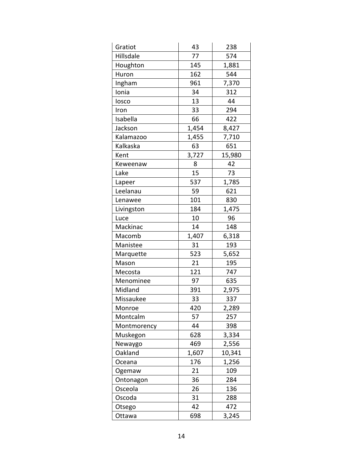| Gratiot     | 43    | 238    |
|-------------|-------|--------|
| Hillsdale   | 77    | 574    |
| Houghton    | 145   | 1,881  |
| Huron       | 162   | 544    |
| Ingham      | 961   | 7,370  |
| Ionia       | 34    | 312    |
| losco       | 13    | 44     |
| Iron        | 33    | 294    |
| Isabella    | 66    | 422    |
| Jackson     | 1,454 | 8,427  |
| Kalamazoo   | 1,455 | 7,710  |
| Kalkaska    | 63    | 651    |
| Kent        | 3,727 | 15,980 |
| Keweenaw    | 8     | 42     |
| Lake        | 15    | 73     |
| Lapeer      | 537   | 1,785  |
| Leelanau    | 59    | 621    |
| Lenawee     | 101   | 830    |
| Livingston  | 184   | 1,475  |
| Luce        | 10    | 96     |
| Mackinac    | 14    | 148    |
| Macomb      | 1,407 | 6,318  |
| Manistee    | 31    | 193    |
| Marquette   | 523   | 5,652  |
| Mason       | 21    | 195    |
| Mecosta     | 121   | 747    |
| Menominee   | 97    | 635    |
| Midland     | 391   | 2,975  |
| Missaukee   | 33    | 337    |
| Monroe      | 420   | 2,289  |
| Montcalm    | 57    | 257    |
| Montmorency | 44    | 398    |
| Muskegon    | 628   | 3,334  |
| Newaygo     | 469   | 2,556  |
| Oakland     | 1,607 | 10,341 |
| Oceana      | 176   | 1,256  |
| Ogemaw      | 21    | 109    |
| Ontonagon   | 36    | 284    |
| Osceola     | 26    | 136    |
| Oscoda      | 31    | 288    |
| Otsego      | 42    | 472    |
| Ottawa      | 698   | 3,245  |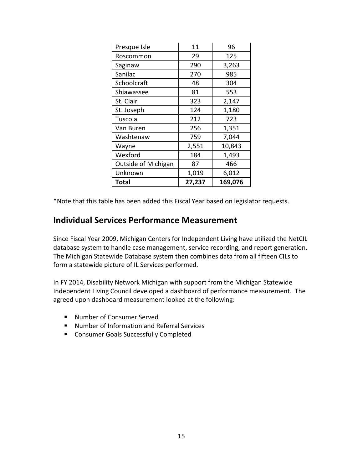| Presque Isle        | 11     | 96      |
|---------------------|--------|---------|
| Roscommon           | 29     | 125     |
| Saginaw             | 290    | 3,263   |
| Sanilac             | 270    | 985     |
| Schoolcraft         | 48     | 304     |
| Shiawassee          | 81     | 553     |
| St. Clair           | 323    | 2,147   |
| St. Joseph          | 124    | 1,180   |
| Tuscola             | 212    | 723     |
| Van Buren           | 256    | 1,351   |
| Washtenaw           | 759    | 7,044   |
| Wayne               | 2,551  | 10,843  |
| Wexford             | 184    | 1,493   |
| Outside of Michigan | 87     | 466     |
| Unknown             | 1,019  | 6,012   |
| Total               | 27,237 | 169,076 |

\*Note that this table has been added this Fiscal Year based on legislator requests.

# **Individual Services Performance Measurement**

Since Fiscal Year 2009, Michigan Centers for Independent Living have utilized the NetCIL database system to handle case management, service recording, and report generation. The Michigan Statewide Database system then combines data from all fifteen CILs to form a statewide picture of IL Services performed.

In FY 2014, Disability Network Michigan with support from the Michigan Statewide Independent Living Council developed a dashboard of performance measurement. The agreed upon dashboard measurement looked at the following:

- Number of Consumer Served
- Number of Information and Referral Services
- **EXECONSUMER Goals Successfully Completed**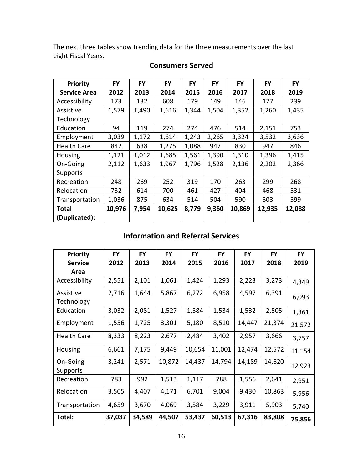The next three tables show trending data for the three measurements over the last eight Fiscal Years.

| Priority            | <b>FY</b> | <b>FY</b> | <b>FY</b> | <b>FY</b> | <b>FY</b> | <b>FY</b> | <b>FY</b> | <b>FY</b> |
|---------------------|-----------|-----------|-----------|-----------|-----------|-----------|-----------|-----------|
| <b>Service Area</b> | 2012      | 2013      | 2014      | 2015      | 2016      | 2017      | 2018      | 2019      |
| Accessibility       | 173       | 132       | 608       | 179       | 149       | 146       | 177       | 239       |
| Assistive           | 1,579     | 1,490     | 1,616     | 1,344     | 1,504     | 1,352     | 1,260     | 1,435     |
| Technology          |           |           |           |           |           |           |           |           |
| Education           | 94        | 119       | 274       | 274       | 476       | 514       | 2,151     | 753       |
| Employment          | 3,039     | 1,172     | 1,614     | 1,243     | 2,265     | 3,324     | 3,532     | 3,636     |
| <b>Health Care</b>  | 842       | 638       | 1,275     | 1,088     | 947       | 830       | 947       | 846       |
| Housing             | 1,121     | 1,012     | 1,685     | 1,561     | 1,390     | 1,310     | 1,396     | 1,415     |
| On-Going            | 2,112     | 1,633     | 1,967     | 1,796     | 1,528     | 2,136     | 2,202     | 2,366     |
| Supports            |           |           |           |           |           |           |           |           |
| Recreation          | 248       | 269       | 252       | 319       | 170       | 263       | 299       | 268       |
| Relocation          | 732       | 614       | 700       | 461       | 427       | 404       | 468       | 531       |
| Transportation      | 1,036     | 875       | 634       | 514       | 504       | 590       | 503       | 599       |
| <b>Total</b>        | 10,976    | 7,954     | 10,625    | 8,779     | 9,360     | 10,869    | 12,935    | 12,088    |
| (Duplicated):       |           |           |           |           |           |           |           |           |

## **Consumers Served**

# **Information and Referral Services**

| <b>Priority</b>    | <b>FY</b> | <b>FY</b> | <b>FY</b> | <b>FY</b> | <b>FY</b> | <b>FY</b> | <b>FY</b> | <b>FY</b> |
|--------------------|-----------|-----------|-----------|-----------|-----------|-----------|-----------|-----------|
| <b>Service</b>     | 2012      | 2013      | 2014      | 2015      | 2016      | 2017      | 2018      | 2019      |
| Area               |           |           |           |           |           |           |           |           |
| Accessibility      | 2,551     | 2,101     | 1,061     | 1,424     | 1,293     | 2,223     | 3,273     | 4,349     |
| Assistive          | 2,716     | 1,644     | 5,867     | 6,272     | 6,958     | 4,597     | 6,391     |           |
| Technology         |           |           |           |           |           |           |           | 6,093     |
| Education          | 3,032     | 2,081     | 1,527     | 1,584     | 1,534     | 1,532     | 2,505     | 1,361     |
| Employment         | 1,556     | 1,725     | 3,301     | 5,180     | 8,510     | 14,447    | 21,374    | 21,572    |
| <b>Health Care</b> | 8,333     | 8,223     | 2,677     | 2,484     | 3,402     | 2,957     | 3,666     | 3,757     |
| Housing            | 6,661     | 7,175     | 9,449     | 10,654    | 11,001    | 12,474    | 12,572    | 11,154    |
| On-Going           | 3,241     | 2,571     | 10,872    | 14,437    | 14,794    | 14,189    | 14,620    | 12,923    |
| Supports           |           |           |           |           |           |           |           |           |
| Recreation         | 783       | 992       | 1,513     | 1,117     | 788       | 1,556     | 2,641     | 2,951     |
| Relocation         | 3,505     | 4,407     | 4,171     | 6,701     | 9,004     | 9,430     | 10,863    | 5,956     |
| Transportation     | 4,659     | 3,670     | 4,069     | 3,584     | 3,229     | 3,911     | 5,903     | 5,740     |
| Total:             | 37,037    | 34,589    | 44,507    | 53,437    | 60,513    | 67,316    | 83,808    | 75,856    |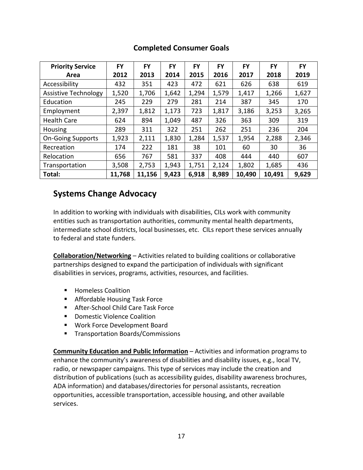| <b>Priority Service</b>     | <b>FY</b> | <b>FY</b> | <b>FY</b> | <b>FY</b> | FY    | <b>FY</b> | <b>FY</b> | FY    |
|-----------------------------|-----------|-----------|-----------|-----------|-------|-----------|-----------|-------|
| Area                        | 2012      | 2013      | 2014      | 2015      | 2016  | 2017      | 2018      | 2019  |
| Accessibility               | 432       | 351       | 423       | 472       | 621   | 626       | 638       | 619   |
| <b>Assistive Technology</b> | 1,520     | 1,706     | 1,642     | 1,294     | 1,579 | 1,417     | 1,266     | 1,627 |
| Education                   | 245       | 229       | 279       | 281       | 214   | 387       | 345       | 170   |
| Employment                  | 2,397     | 1,812     | 1,173     | 723       | 1,817 | 3,186     | 3,253     | 3,265 |
| <b>Health Care</b>          | 624       | 894       | 1,049     | 487       | 326   | 363       | 309       | 319   |
| Housing                     | 289       | 311       | 322       | 251       | 262   | 251       | 236       | 204   |
| <b>On-Going Supports</b>    | 1,923     | 2,111     | 1,830     | 1,284     | 1,537 | 1,954     | 2,288     | 2,346 |
| Recreation                  | 174       | 222       | 181       | 38        | 101   | 60        | 30        | 36    |
| Relocation                  | 656       | 767       | 581       | 337       | 408   | 444       | 440       | 607   |
| Transportation              | 3,508     | 2,753     | 1,943     | 1,751     | 2,124 | 1,802     | 1,685     | 436   |
| Total:                      | 11,768    | 11,156    | 9,423     | 6,918     | 8,989 | 10,490    | 10,491    | 9,629 |

## **Completed Consumer Goals**

# **Systems Change Advocacy**

In addition to working with individuals with disabilities, CILs work with community entities such as transportation authorities, community mental health departments, intermediate school districts, local businesses, etc. CILs report these services annually to federal and state funders.

**Collaboration/Networking** – Activities related to building coalitions or collaborative partnerships designed to expand the participation of individuals with significant disabilities in services, programs, activities, resources, and facilities.

- **Homeless Coalition**
- **Affordable Housing Task Force**
- After-School Child Care Task Force
- **•** Domestic Violence Coalition
- **Work Force Development Board**
- **Transportation Boards/Commissions**

**Community Education and Public Information** – Activities and information programs to enhance the community's awareness of disabilities and disability issues, e.g., local TV, radio, or newspaper campaigns. This type of services may include the creation and distribution of publications (such as accessibility guides, disability awareness brochures, ADA information) and databases/directories for personal assistants, recreation opportunities, accessible transportation, accessible housing, and other available services.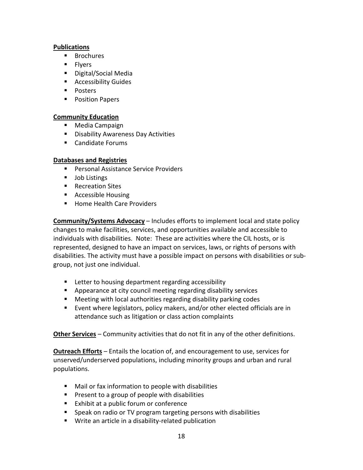#### **Publications**

- **Brochures**
- **Flyers**
- Digital/Social Media
- **Accessibility Guides**
- **Posters**
- **Position Papers**

#### **Community Education**

- Media Campaign
- **Disability Awareness Day Activities**
- Candidate Forums

#### **Databases and Registries**

- **Personal Assistance Service Providers**
- **Job Listings**
- Recreation Sites
- Accessible Housing
- **Home Health Care Providers**

**Community/Systems Advocacy** – Includes efforts to implement local and state policy changes to make facilities, services, and opportunities available and accessible to individuals with disabilities. Note: These are activities where the CIL hosts, or is represented, designed to have an impact on services, laws, or rights of persons with disabilities. The activity must have a possible impact on persons with disabilities or subgroup, not just one individual.

- **EXECTER Letter to housing department regarding accessibility**
- **Appearance at city council meeting regarding disability services**
- Meeting with local authorities regarding disability parking codes
- Event where legislators, policy makers, and/or other elected officials are in attendance such as litigation or class action complaints

**Other Services** – Community activities that do not fit in any of the other definitions.

**Outreach Efforts** – Entails the location of, and encouragement to use, services for unserved/underserved populations, including minority groups and urban and rural populations.

- Mail or fax information to people with disabilities
- **Present to a group of people with disabilities**
- **Exhibit at a public forum or conference**
- **Speak on radio or TV program targeting persons with disabilities**
- **Write an article in a disability-related publication**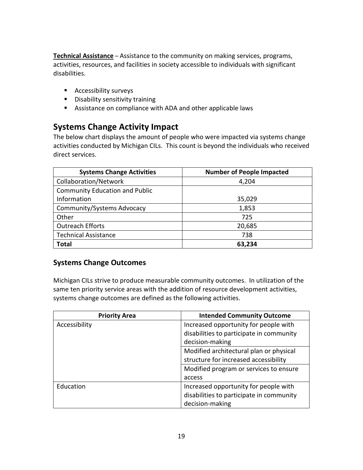**Technical Assistance** – Assistance to the community on making services, programs, activities, resources, and facilities in society accessible to individuals with significant disabilities.

- **Accessibility surveys**
- **Disability sensitivity training**
- Assistance on compliance with ADA and other applicable laws

# **Systems Change Activity Impact**

The below chart displays the amount of people who were impacted via systems change activities conducted by Michigan CILs. This count is beyond the individuals who received direct services.

| <b>Systems Change Activities</b>      | <b>Number of People Impacted</b> |
|---------------------------------------|----------------------------------|
| Collaboration/Network                 | 4,204                            |
| <b>Community Education and Public</b> |                                  |
| Information                           | 35,029                           |
| Community/Systems Advocacy            | 1,853                            |
| Other                                 | 725                              |
| <b>Outreach Efforts</b>               | 20,685                           |
| <b>Technical Assistance</b>           | 738                              |
| <b>Total</b>                          | 63,234                           |

## **Systems Change Outcomes**

Michigan CILs strive to produce measurable community outcomes. In utilization of the same ten priority service areas with the addition of resource development activities, systems change outcomes are defined as the following activities.

| <b>Priority Area</b> | <b>Intended Community Outcome</b>        |
|----------------------|------------------------------------------|
| Accessibility        | Increased opportunity for people with    |
|                      | disabilities to participate in community |
|                      | decision-making                          |
|                      | Modified architectural plan or physical  |
|                      | structure for increased accessibility    |
|                      | Modified program or services to ensure   |
|                      | access                                   |
| Education            | Increased opportunity for people with    |
|                      | disabilities to participate in community |
|                      | decision-making                          |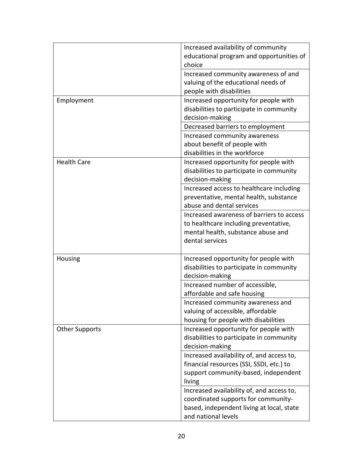|                       | Increased availability of community       |
|-----------------------|-------------------------------------------|
|                       | educational program and opportunities of  |
|                       | choice                                    |
|                       | Increased community awareness of and      |
|                       | valuing of the educational needs of       |
|                       | people with disabilities                  |
| Employment            | Increased opportunity for people with     |
|                       | disabilities to participate in community  |
|                       | decision-making                           |
|                       | Decreased barriers to employment          |
|                       | Increased community awareness             |
|                       | about benefit of people with              |
|                       | disabilities in the workforce             |
| <b>Health Care</b>    | Increased opportunity for people with     |
|                       | disabilities to participate in community  |
|                       | decision-making                           |
|                       | Increased access to healthcare including  |
|                       | preventative, mental health, substance    |
|                       | abuse and dental services                 |
|                       | Increased awareness of barriers to access |
|                       | to healthcare including preventative,     |
|                       | mental health, substance abuse and        |
|                       | dental services                           |
|                       |                                           |
| Housing               | Increased opportunity for people with     |
|                       | disabilities to participate in community  |
|                       | decision-making                           |
|                       | Increased number of accessible,           |
|                       | affordable and safe housing               |
|                       | Increased community awareness and         |
|                       | valuing of accessible, affordable         |
|                       | housing for people with disabilities      |
| <b>Other Supports</b> | Increased opportunity for people with     |
|                       | disabilities to participate in community  |
|                       | decision-making                           |
|                       | Increased availability of, and access to, |
|                       | financial resources (SSI, SSDI, etc.) to  |
|                       | support community-based, independent      |
|                       | living                                    |
|                       | Increased availability of, and access to, |
|                       | coordinated supports for community-       |
|                       | based, independent living at local, state |
|                       | and national levels                       |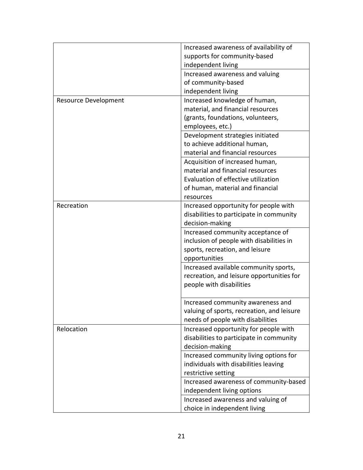|                             | Increased awareness of availability of     |
|-----------------------------|--------------------------------------------|
|                             | supports for community-based               |
|                             | independent living                         |
|                             | Increased awareness and valuing            |
|                             | of community-based                         |
|                             | independent living                         |
| <b>Resource Development</b> | Increased knowledge of human,              |
|                             | material, and financial resources          |
|                             | (grants, foundations, volunteers,          |
|                             | employees, etc.)                           |
|                             | Development strategies initiated           |
|                             | to achieve additional human,               |
|                             | material and financial resources           |
|                             | Acquisition of increased human,            |
|                             | material and financial resources           |
|                             | Evaluation of effective utilization        |
|                             | of human, material and financial           |
|                             | resources                                  |
| Recreation                  | Increased opportunity for people with      |
|                             |                                            |
|                             | disabilities to participate in community   |
|                             | decision-making                            |
|                             | Increased community acceptance of          |
|                             | inclusion of people with disabilities in   |
|                             | sports, recreation, and leisure            |
|                             | opportunities                              |
|                             | Increased available community sports,      |
|                             | recreation, and leisure opportunities for  |
|                             | people with disabilities                   |
|                             |                                            |
|                             | Increased community awareness and          |
|                             | valuing of sports, recreation, and leisure |
|                             | needs of people with disabilities          |
| Relocation                  | Increased opportunity for people with      |
|                             | disabilities to participate in community   |
|                             | decision-making                            |
|                             | Increased community living options for     |
|                             | individuals with disabilities leaving      |
|                             | restrictive setting                        |
|                             | Increased awareness of community-based     |
|                             | independent living options                 |
|                             | Increased awareness and valuing of         |
|                             | choice in independent living               |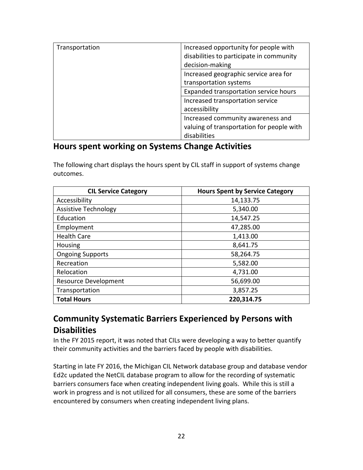| Transportation | Increased opportunity for people with<br>disabilities to participate in community |
|----------------|-----------------------------------------------------------------------------------|
|                | decision-making                                                                   |
|                | Increased geographic service area for                                             |
|                | transportation systems                                                            |
|                | Expanded transportation service hours                                             |
|                | Increased transportation service                                                  |
|                | accessibility                                                                     |
|                | Increased community awareness and                                                 |
|                | valuing of transportation for people with                                         |
|                | disabilities                                                                      |

## **Hours spent working on Systems Change Activities**

The following chart displays the hours spent by CIL staff in support of systems change outcomes.

| <b>CIL Service Category</b> | <b>Hours Spent by Service Category</b> |
|-----------------------------|----------------------------------------|
| Accessibility               | 14,133.75                              |
| <b>Assistive Technology</b> | 5,340.00                               |
| Education                   | 14,547.25                              |
| Employment                  | 47,285.00                              |
| <b>Health Care</b>          | 1,413.00                               |
| Housing                     | 8,641.75                               |
| <b>Ongoing Supports</b>     | 58,264.75                              |
| Recreation                  | 5,582.00                               |
| Relocation                  | 4,731.00                               |
| <b>Resource Development</b> | 56,699.00                              |
| Transportation              | 3,857.25                               |
| <b>Total Hours</b>          | 220,314.75                             |

# **Community Systematic Barriers Experienced by Persons with Disabilities**

In the FY 2015 report, it was noted that CILs were developing a way to better quantify their community activities and the barriers faced by people with disabilities.

Starting in late FY 2016, the Michigan CIL Network database group and database vendor Ed2c updated the NetCIL database program to allow for the recording of systematic barriers consumers face when creating independent living goals. While this is still a work in progress and is not utilized for all consumers, these are some of the barriers encountered by consumers when creating independent living plans.